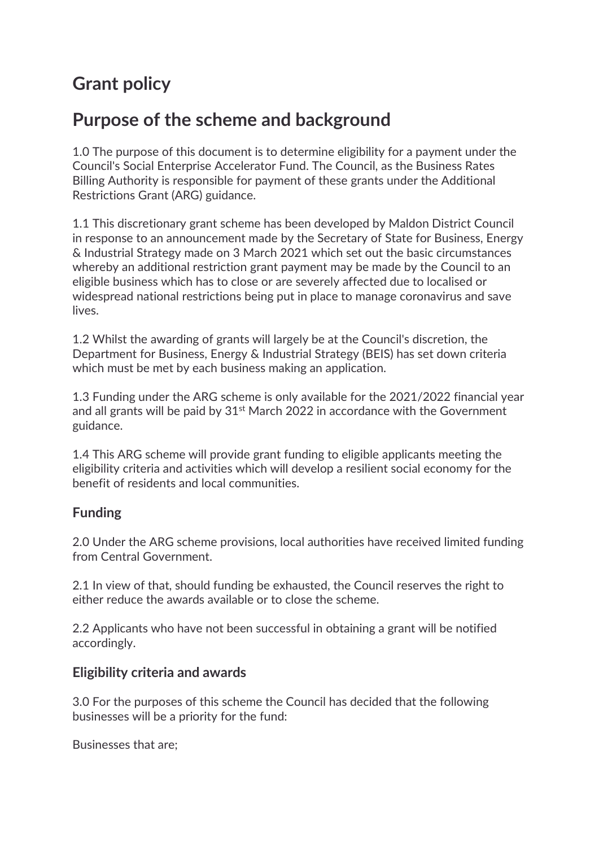# **Grant policy**

# **Purpose of the scheme and background**

1.0 The purpose of this document is to determine eligibility for a payment under the Council's Social Enterprise Accelerator Fund. The Council, as the Business Rates Billing Authority is responsible for payment of these grants under the Additional Restrictions Grant (ARG) guidance.

1.1 This discretionary grant scheme has been developed by Maldon District Council in response to an announcement made by the Secretary of State for Business, Energy & Industrial Strategy made on 3 March 2021 which set out the basic circumstances whereby an additional restriction grant payment may be made by the Council to an eligible business which has to close or are severely affected due to localised or widespread national restrictions being put in place to manage coronavirus and save lives.

1.2 Whilst the awarding of grants will largely be at the Council's discretion, the Department for Business, Energy & Industrial Strategy (BEIS) has set down criteria which must be met by each business making an application.

1.3 Funding under the ARG scheme is only available for the 2021/2022 financial year and all grants will be paid by 31<sup>st</sup> March 2022 in accordance with the Government guidance.

1.4 This ARG scheme will provide grant funding to eligible applicants meeting the eligibility criteria and activities which will develop a resilient social economy for the benefit of residents and local communities.

# **Funding**

2.0 Under the ARG scheme provisions, local authorities have received limited funding from Central Government.

2.1 In view of that, should funding be exhausted, the Council reserves the right to either reduce the awards available or to close the scheme.

2.2 Applicants who have not been successful in obtaining a grant will be notified accordingly.

#### **Eligibility criteria and awards**

3.0 For the purposes of this scheme the Council has decided that the following businesses will be a priority for the fund:

Businesses that are;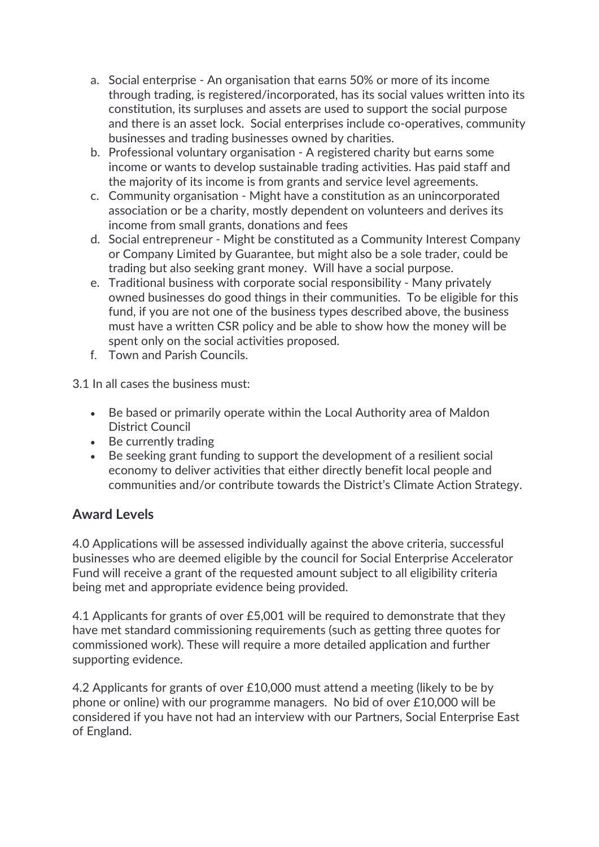- a. Social enterprise An organisation that earns 50% or more of its income through trading, is registered/incorporated, has its social values written into its constitution, its surpluses and assets are used to support the social purpose and there is an asset lock. Social enterprises include co-operatives, community businesses and trading businesses owned by charities.
- b. Professional voluntary organisation A registered charity but earns some income or wants to develop sustainable trading activities. Has paid staff and the majority of its income is from grants and service level agreements.
- c. Community organisation Might have a constitution as an unincorporated association or be a charity, mostly dependent on volunteers and derives its income from small grants, donations and fees
- d. Social entrepreneur Might be constituted as a Community Interest Company or Company Limited by Guarantee, but might also be a sole trader, could be trading but also seeking grant money. Will have a social purpose.
- e. Traditional business with corporate social responsibility Many privately owned businesses do good things in their communities. To be eligible for this fund, if you are not one of the business types described above, the business must have a written CSR policy and be able to show how the money will be spent only on the social activities proposed.
- f. Town and Parish Councils.

3.1 In all cases the business must:

- Be based or primarily operate within the Local Authority area of Maldon District Council
- Be currently trading
- Be seeking grant funding to support the development of a resilient social economy to deliver activities that either directly benefit local people and communities and/or contribute towards the District's Climate Action Strategy.

## **Award Levels**

4.0 Applications will be assessed individually against the above criteria, successful businesses who are deemed eligible by the council for Social Enterprise Accelerator Fund will receive a grant of the requested amount subject to all eligibility criteria being met and appropriate evidence being provided.

4.1 Applicants for grants of over £5,001 will be required to demonstrate that they have met standard commissioning requirements (such as getting three quotes for commissioned work). These will require a more detailed application and further supporting evidence.

4.2 Applicants for grants of over £10,000 must attend a meeting (likely to be by phone or online) with our programme managers. No bid of over £10,000 will be considered if you have not had an interview with our Partners, Social Enterprise East of England.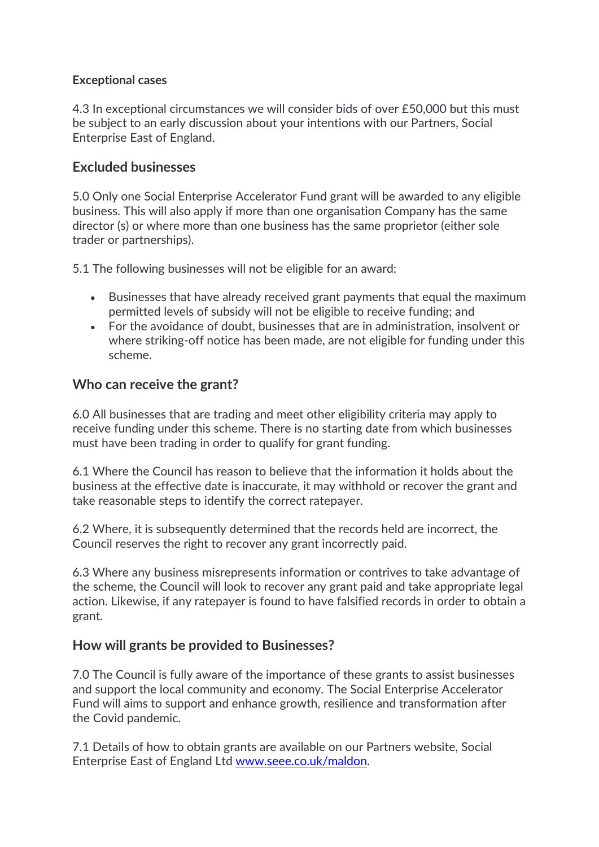#### **Exceptional cases**

4.3 In exceptional circumstances we will consider bids of over £50,000 but this must be subject to an early discussion about your intentions with our Partners, Social Enterprise East of England.

## **Excluded businesses**

5.0 Only one Social Enterprise Accelerator Fund grant will be awarded to any eligible business. This will also apply if more than one organisation Company has the same director (s) or where more than one business has the same proprietor (either sole trader or partnerships).

5.1 The following businesses will not be eligible for an award:

- Businesses that have already received grant payments that equal the maximum permitted levels of subsidy will not be eligible to receive funding; and
- For the avoidance of doubt, businesses that are in administration, insolvent or where striking-off notice has been made, are not eligible for funding under this scheme.

#### **Who can receive the grant?**

6.0 All businesses that are trading and meet other eligibility criteria may apply to receive funding under this scheme. There is no starting date from which businesses must have been trading in order to qualify for grant funding.

6.1 Where the Council has reason to believe that the information it holds about the business at the effective date is inaccurate, it may withhold or recover the grant and take reasonable steps to identify the correct ratepayer.

6.2 Where, it is subsequently determined that the records held are incorrect, the Council reserves the right to recover any grant incorrectly paid.

6.3 Where any business misrepresents information or contrives to take advantage of the scheme, the Council will look to recover any grant paid and take appropriate legal action. Likewise, if any ratepayer is found to have falsified records in order to obtain a grant.

## **How will grants be provided to Businesses?**

7.0 The Council is fully aware of the importance of these grants to assist businesses and support the local community and economy. The Social Enterprise Accelerator Fund will aims to support and enhance growth, resilience and transformation after the Covid pandemic.

7.1 Details of how to obtain grants are available on our Partners website, Social Enterprise East of England Ltd [www.seee.co.uk/maldon.](http://www.seee.co.uk/maldon)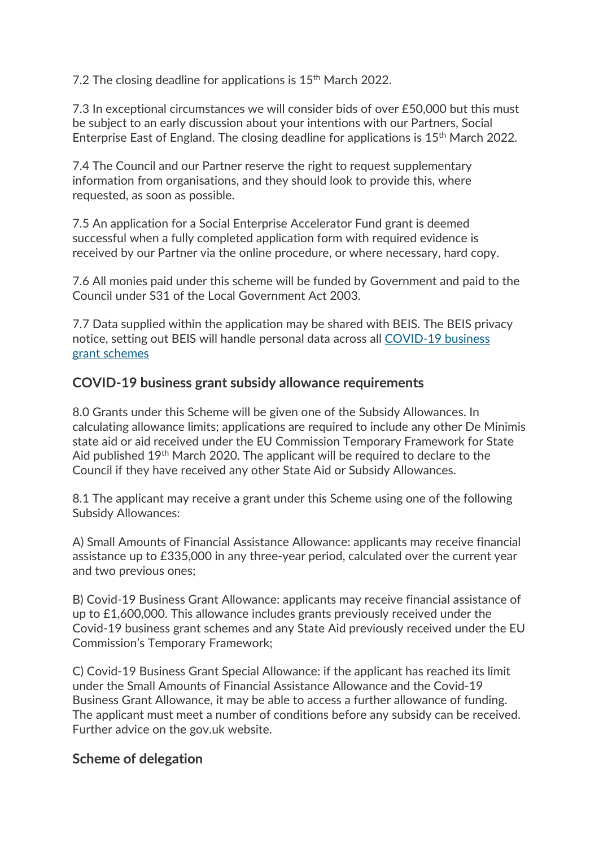7.2 The closing deadline for applications is 15<sup>th</sup> March 2022.

7.3 In exceptional circumstances we will consider bids of over £50,000 but this must be subject to an early discussion about your intentions with our Partners, Social Enterprise East of England. The closing deadline for applications is 15th March 2022.

7.4 The Council and our Partner reserve the right to request supplementary information from organisations, and they should look to provide this, where requested, as soon as possible.

7.5 An application for a Social Enterprise Accelerator Fund grant is deemed successful when a fully completed application form with required evidence is received by our Partner via the online procedure, or where necessary, hard copy.

7.6 All monies paid under this scheme will be funded by Government and paid to the Council under S31 of the Local Government Act 2003.

7.7 Data supplied within the application may be shared with BEIS. The BEIS privacy notice, setting out BEIS will handle personal data across all [COVID-19 business](https://www.gov.uk/government/publications/covid-19-grant-schemes-privacy-notice/covid-19-grant-schemes-privacy-notice)  grant [schemes](https://www.gov.uk/government/publications/covid-19-grant-schemes-privacy-notice/covid-19-grant-schemes-privacy-notice)

## **COVID-19 business grant subsidy allowance requirements**

8.0 Grants under this Scheme will be given one of the Subsidy Allowances. In calculating allowance limits; applications are required to include any other De Minimis state aid or aid received under the EU Commission Temporary Framework for State Aid published 19<sup>th</sup> March 2020. The applicant will be required to declare to the Council if they have received any other State Aid or Subsidy Allowances.

8.1 The applicant may receive a grant under this Scheme using one of the following Subsidy Allowances:

A) Small Amounts of Financial Assistance Allowance: applicants may receive financial assistance up to £335,000 in any three-year period, calculated over the current year and two previous ones;

B) Covid-19 Business Grant Allowance: applicants may receive financial assistance of up to £1,600,000. This allowance includes grants previously received under the Covid-19 business grant schemes and any State Aid previously received under the EU Commission's Temporary Framework;

C) Covid-19 Business Grant Special Allowance: if the applicant has reached its limit under the Small Amounts of Financial Assistance Allowance and the Covid-19 Business Grant Allowance, it may be able to access a further allowance of funding. The applicant must meet a number of conditions before any subsidy can be received. Further advice on the gov.uk website.

## **Scheme of delegation**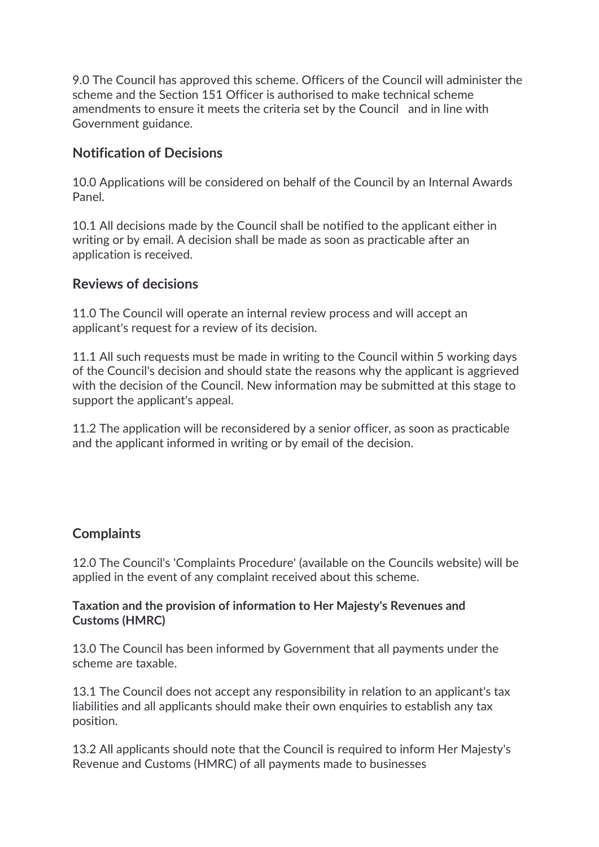9.0 The Council has approved this scheme. Officers of the Council will administer the scheme and the Section 151 Officer is authorised to make technical scheme amendments to ensure it meets the criteria set by the Council and in line with Government guidance.

## **Notification of Decisions**

10.0 Applications will be considered on behalf of the Council by an Internal Awards Panel.

10.1 All decisions made by the Council shall be notified to the applicant either in writing or by email. A decision shall be made as soon as practicable after an application is received.

#### **Reviews of decisions**

11.0 The Council will operate an internal review process and will accept an applicant's request for a review of its decision.

11.1 All such requests must be made in writing to the Council within 5 working days of the Council's decision and should state the reasons why the applicant is aggrieved with the decision of the Council. New information may be submitted at this stage to support the applicant's appeal.

11.2 The application will be reconsidered by a senior officer, as soon as practicable and the applicant informed in writing or by email of the decision.

## **Complaints**

12.0 The Council's 'Complaints Procedure' (available on the Councils website) will be applied in the event of any complaint received about this scheme.

#### **Taxation and the provision of information to Her Majesty's Revenues and Customs (HMRC)**

13.0 The Council has been informed by Government that all payments under the scheme are taxable.

13.1 The Council does not accept any responsibility in relation to an applicant's tax liabilities and all applicants should make their own enquiries to establish any tax position.

13.2 All applicants should note that the Council is required to inform Her Majesty's Revenue and Customs (HMRC) of all payments made to businesses